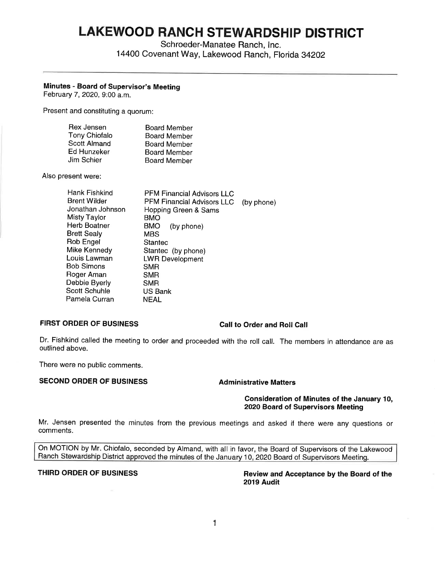# **LAKEWOOD RANCH STEWARDSHIP DISTRICT**

Schroeder-Manatee Ranch, Inc.

14400 Covenant Way, Lakewood Ranch, Florida 34202

# **Minutes - Board of Supervisor's Meeting**

February 7, 2020, 9:00 a.m.

Present and constituting a quorum:

| Rex Jensen           | <b>Board Member</b> |
|----------------------|---------------------|
| <b>Tony Chiofalo</b> | <b>Board Member</b> |
| <b>Scott Almand</b>  | <b>Board Member</b> |
| Ed Hunzeker          | <b>Board Member</b> |
| Jim Schier           | <b>Board Member</b> |

Also present were:

| Hank Fishkind       | <b>PFM Financial Advisors LLC</b> |            |
|---------------------|-----------------------------------|------------|
| <b>Brent Wilder</b> | <b>PFM Financial Advisors LLC</b> | (by phone) |
| Jonathan Johnson    | Hopping Green & Sams              |            |
| Misty Taylor        | BMO                               |            |
| Herb Boatner        | <b>BMO</b><br>(by phone)          |            |
| <b>Brett Sealy</b>  | MBS                               |            |
| Rob Engel           | Stantec                           |            |
| Mike Kennedy        | Stantec (by phone)                |            |
| Louis Lawman        | <b>LWR Development</b>            |            |
| Bob Simons          | <b>SMR</b>                        |            |
| Roger Aman          | <b>SMR</b>                        |            |
| Debbie Byerly       | <b>SMR</b>                        |            |
| Scott Schuhle       | US Bank                           |            |
| Pamela Curran       | NEAL                              |            |

# FIRST ORDER OF BUSINESS Call to Order and Roll Call

Dr. Fishkind called the meeting to order and proceeded with the roll call. The members in attendance are as outlined above.

There **were** no public comments.

# **SECOND ORDER OF BUSINESS Administrative Matters**

### **Consideration of Minutes of the January 10, 2020 Board of Supervisors Meeting**

Mr. Jensen presented the minutes from the previous meetings and asked if there were any questions or comments.

On MOTION by Mr. Chiofalo, seconded by Almand, with all in favor, the Board of Supervisors of the Lakewood Ranch Stewardship District approved the minutes of the January 10, 2020 Board of Supervisors Meeting.

**THIRD ORDER OF BUSINESS Review and Acceptance by the Board of the 2019 Audit**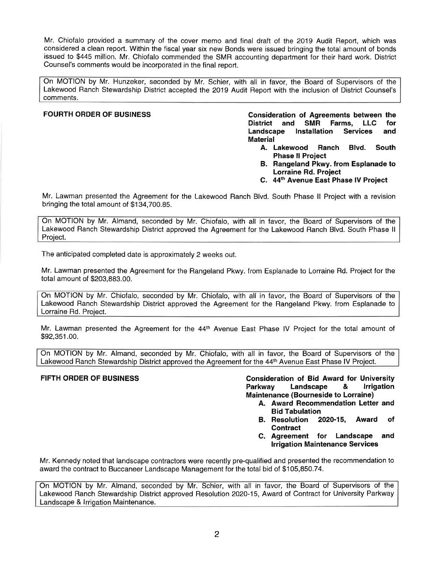Mr. Chiofalo provided a summary of the cover memo and final draft of the 2019 Audit Report, which was considered a clean report. Within the fiscal year six new Bonds were issued bringing the total amount of bonds issued to \$445 million. Mr. Chiofalo commended the SMR accounting department for their hard work. District Counsel's comments would be incorporated in the final report.

On MOTION by Mr. Hunzeker, seconded by Mr. Schier, with all in favor, the Board of Supervisors of the Lakewood Ranch Stewardship District accepted the 2019 Audit Report with the inclusion of District Counsel's comments.

FOURTH ORDER OF BUSINESS **Consideration of Agreements between the District and SMR Farms, LLC for Landscape Installation Services and Material** 

- **A. Lakewood Ranch Blvd. South Phase II Project**
- **B. Rangeland Pkwy. from Esplanade to Lorraine Rd. Project**
- **C. 44th Avenue East Phase IV Project**

Mr. Lawman presented the Agreement tor the Lakewood Ranch Blvd. South Phase II Project with a revision bringing the total amount of [\\$134,700.85.](https://134,700.85)

On MOTION by Mr. Almand, seconded by Mr. Chiofalo, with all in favor, the Board of Supervisors of the Lakewood Ranch Stewardship District approved the Agreement for the Lakewood Ranch Blvd. South Phase II Project.

The anticipated completed date is approximately 2 weeks out.

Mr. Lawman presented the Agreement for the Rangeland Pkwy. from Esplanade to Lorraine Rd. Project tor the total amount of [\\$203,883.00.](https://203,883.00)

On MOTION by Mr. Chiofalo, seconded by Mr. Chiofalo, with all in favor, the Board of Supervisors of the Lakewood Ranch Stewardship District approved the Agreement tor the Rangeland Pkwy. from Esplanade to Lorraine Rd. Project.

Mr. Lawman presented the Agreement for the 44<sup>th</sup> Avenue East Phase IV Project for the total amount of [\\$92,351.00](https://92,351.00).

On MOTION by Mr. Almand, seconded by Mr. Chiofalo, with all in favor, the Board of Supervisors of the Lakewood Ranch Stewardship District approved the Agreement for the 44<sup>th</sup> Avenue East Phase IV Project.

**FIFTH ORDER OF BUSINESS Consideration of Bid Award for University Parkway Landscape & Irrigation Maintenance (Bourneside to Lorraine)** 

- **A. Award Recommendation Letter and Bid Tabulation**
- **B. Resolution 2020-15, Award of Contract**
- **C. Agreement for Landscape and Irrigation Maintenance Services**

Mr. Kennedy noted that landscape contractors were recently pre-qualified and presented the recommendation to award the contract to Buccaneer Landscape Management tor the total bid of \$[105,850.74](https://105,850.74).

On MOTION by Mr. Almand, seconded by Mr. Schier, with all in favor, the Board of Supervisors of the Lakewood Ranch Stewardship District approved Resolution 2020-15, Award of Contract for University Parkway Landscape & Irrigation Maintenance.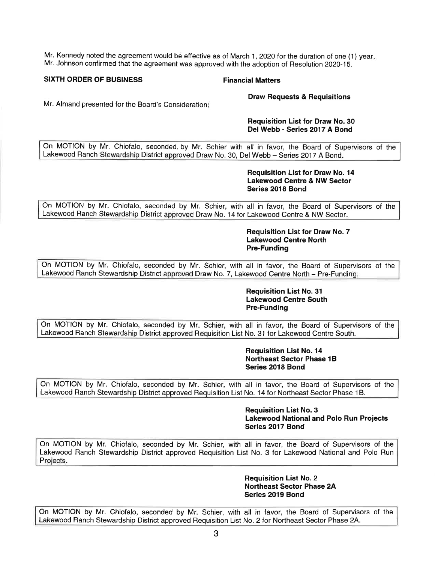**Mr.** Kennedy noted the agreement would be effective as of March **1,** 2020 for the duration of one (1) year. Mr. Johnson confirmed that the agreement was approved with the adoption of Resolution 2020-15.

### **SIXTH ORDER OF BUSINESS Financial Matters**

**Draw Requests & Requisitions** 

Mr. Almand presented for the Board's Consideration:

### **Requisition List for Draw No. 30 Del Webb - Series 2017 A Bond**

On MOTION by Mr. Chiofalo, seconded. by Mr. Schier with all in favor, the Board of Supervisors of the Lakewood Ranch Stewardship District approved Draw No. 30, Del Webb - Series 2017 A Bond.

### **Requisition List for Draw No. 14 Lakewood Centre & NW Sector Series 2018 Bond**

On MOTION by Mr. Chiofalo, seconded by Mr. Schier, with all in favor, the Board of Supervisors of the Lakewood Ranch Stewardship District approved Draw No. 14 for Lakewood Centre & NW Sector.

> **Requisition List for Draw No. 7 Lakewood Centre North Pre-Funding**

On MOTION by Mr. Chiofalo, seconded by Mr. Schier, with all in favor, the Board of Supervisors of the Lakewood Ranch Stewardship District approved Draw No. 7, Lakewood Centre North - Pre-Funding.

### **Requisition List No. 31 Lakewood Centre South Pre-Funding**

On MOTION by Mr. Chiofalo, seconded by Mr. Schier, with all in favor, the Board of Supervisors of the Lakewood Ranch Stewardship District approved Requisition List No. 31 for Lakewood Centre South.

> **Requisition List No. 14 Northeast Sector Phase 1B Series 2018 Bond**

On MOTION by Mr. Chiofalo, seconded by Mr. Schier, with all in favor, the Board of Supervisors of the Lakewood Ranch Stewardship District approved Requisition List No. 14 for Northeast Sector Phase 1B.

> **Requisition List No. 3 Lakewood National and Polo Run Projects Series 2017 Bond**

On MOTION by Mr. Chiofalo, seconded by Mr. Schier, with all in favor, the Board of Supervisors of the Lakewood Ranch Stewardship District approved Requisition List No. 3 for Lakewood National and Polo Run Projects.

> **Requisition List No. 2 Northeast Sector Phase 2A Series 2019 Bond**

On MOTION by Mr. Chiofalo, seconded by Mr. Schier, with all in favor, the Board of Supervisors of the Lakewood Ranch Stewardship District approved Requisition List No. 2 for Northeast Sector Phase 2A.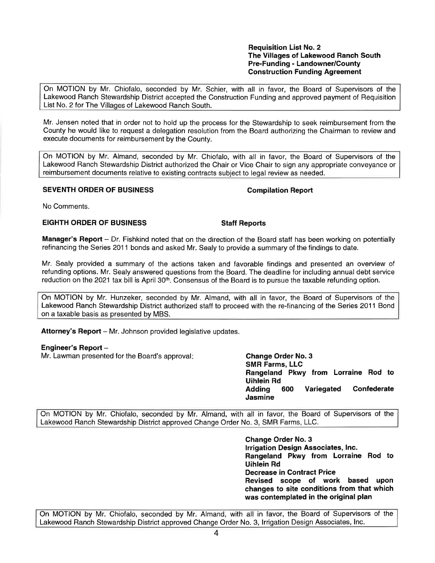**Requisition List No. 2 The Villages of Lakewood Ranch South Pre-Funding - Landowner/County Construction Funding Agreement** 

On MOTION by Mr. Chiofalo, seconded by Mr. Schier, with all in favor, the Board of Supervisors of the Lakewood Ranch Stewardship District accepted the Construction Funding and approved payment of Requisition List No. 2 for The Villages of Lakewood Ranch South.

Mr. Jensen noted that in order not to hold up the process for the Stewardship to seek reimbursement from the County he would like to request a delegation resolution from the Board authorizing the Chairman to review and execute documents for reimbursement by the County.

On MOTION by Mr. Almand, seconded by Mr. Chiofalo, with all in favor, the Board of Supervisors of the Lakewood Ranch Stewardship District authorized the Chair or Vice Chair to sign any appropriate conveyance or reimbursement documents relative to existing contracts subject to legal review as needed.

# **SEVENTH ORDER OF BUSINESS COMPILATION COMPILATION Report**

No Comments.

# **EIGHTH ORDER OF BUSINESS Staff Reports**

**Manager's Report** - Dr. Fishkind noted that on the direction of the Board staff has been working on potentially refinancing the Series 2011 bonds and asked Mr. Sealy to provide a summary of the findings to date.

Mr. Sealy provided a summary of the actions taken and favorable findings and presented an overview of refunding options. Mr. Sealy answered questions from the Board. The deadline for including annual debt service reduction on the 2021 tax bill is April 30<sup>th</sup>. Consensus of the Board is to pursue the taxable refunding option.

On MOTION by Mr. Hunzeker, seconded by Mr. Almand, with all in favor, the Board of Supervisors of the Lakewood Ranch Stewardship District authorized staff to proceed with the re-financing of the Series 2011 Bond on a taxable basis as presented by MBS.

Attorney's Report - Mr. Johnson provided legislative updates.

### **Engineer's Report** -

Mr. Lawman presented for the Board's approval: **Change Order No. 3** 

**SMR Farms, LLC Rangeland Pkwy from Lorraine Rod to Uihlein Rd Adding 600 Variegated Confederate Jasmine** 

On MOTION by Mr. Chiofalo, seconded by Mr. Almand, with all in favor, the Board of Supervisors of the Lakewood Ranch Stewardship District approved Change Order No. 3, SMR Farms, LLC.

> **Change Order No. 3 Irrigation Design Associates, Inc. Rangeland Pkwy from Lorraine Rod to Uihlein Rd Decrease in Contract Price Revised scope of work based upon changes to site conditions from that which was contemplated in the original plan**

On MOTION by Mr. Chiofalo, seconded by Mr. Almand, with all in favor, the Board of Supervisors of the Lakewood Ranch Stewardship District approved Change Order No. 3, Irrigation Design Associates, Inc.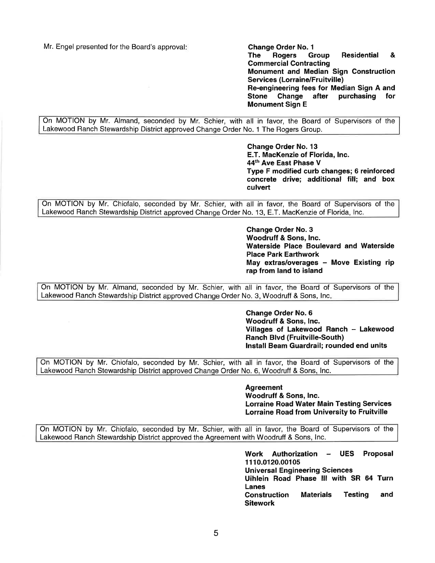Mr. Engel presented for the Board's approval: **Change Order No. 1 Change Order No. 1 The Rogers Group The Rogers Group Residential** & **Commercial Contracting Monument and Median Sign Construction Services (Lorraine/Fruitville) Re-engineering fees for Median Sign A and Stone Change after purchasing for Monument Sign E** 

On MOTION by Mr. Almand, seconded by Mr. Schier, with all in favor, the Board of Supervisors of the Lakewood Ranch Stewardship District approved Change Order No. 1 The Rogers Group.

> **Change Order No. 13 E.T. MacKenzie of Florida, Inc. 44th Ave East Phase V Type F modified curb changes; 6 reinforced concrete drive; additional fill; and box culvert**

On MOTION by Mr. Chiofalo, seconded by Mr. Schier, with all in favor, the Board of Supervisors of the Lakewood Ranch Stewardship District approved Change Order No. 13, E.T. MacKenzie of Florida, Inc.

> **Change Order No. 3 Woodruff** & **Sons, Inc. Waterside Place Boulevard and Waterside Place Park Earthwork**  May extras/overages - Move Existing rip **rap from land to island**

On MOTION by Mr. Almand, seconded by Mr. Schier, with all in favor, the Board of Supervisors of the Lakewood Ranch Stewardship District approved Change Order No. 3, Woodruff & Sons, Inc.

> **Change Order No. 6 Woodruff** & **Sons, Inc. Villages of Lakewood Ranch** - **Lakewood Ranch Blvd (Fruitville-South) Install Beam Guardrail; rounded end units**

On MOTION by Mr. Chiofalo, seconded by Mr. Schier, with all in favor, the Board of Supervisors of the Lakewood Ranch Stewardship District approved Change Order No. 6, Woodruff & Sons, Inc.

> **Agreement Woodruff** & **Sons, Inc. Lorraine Road Water Main Testing Services Lorraine Road from University to Fruitville**

On MOTION by Mr. Chiofalo, seconded by Mr. Schier, with all in favor, the Board of Supervisors of the Lakewood Ranch Stewardship District approved the Agreement with Woodruff & Sons, Inc.

> **Work Authorization** - **UES Proposal 1110.0120.00105 Universal Engineering Sciences Uihlein Road Phase** Ill **with SR 64 Turn Lanes Construction Materials Testing and Sitework**